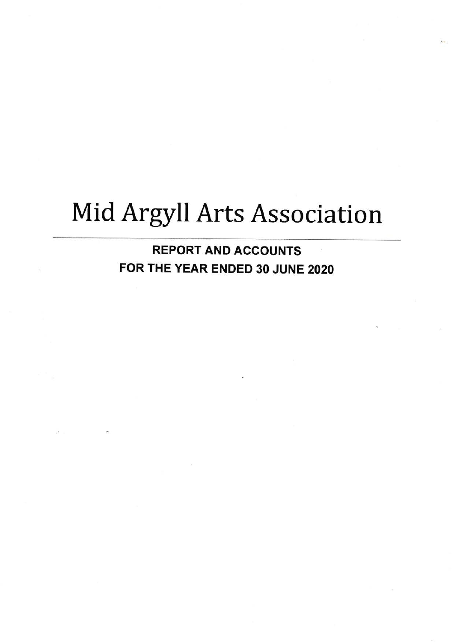# Mid Argyll Arts Association

**REPORT AND ACCOUNTS** FOR THE YEAR ENDED 30 JUNE 2020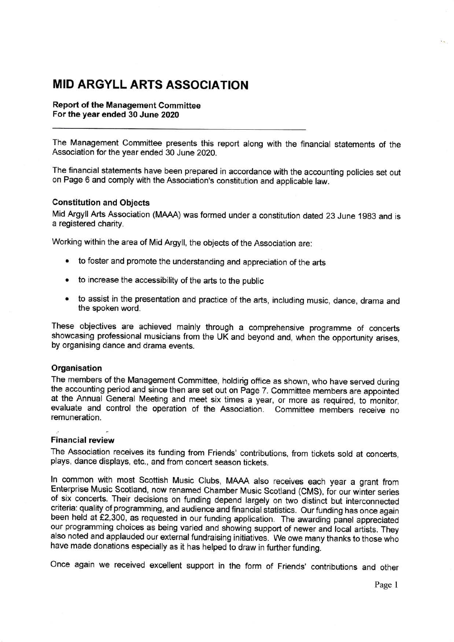### MID ARGYLL ARTS ASSOCIATION

Report of the Management Committee For the year ended 30 June 2020

The Management Committee presents this report along with the financial statements of the Association for the year ended 30 June 2020.

The financial statements have been prepared in accordance with the accounting policies set out on Page 6 and comply with the Association's constitution and applicable law.

#### Constitution and Objects

Mid Argyll Arts Association (MAAA) was formed under a constitution dated 23 June 1983 and is a registered charity.

working within the area of Mid Argyll, the objects of the Association are:

- to foster and promote the understanding and appreciation of the arts
- to increase the accessibility of the arts to the public
- to assist in the presentation and practice of the arts, including music, dance, drama and the spoken word.

These objectives are achieved mainly through a comprehensive programme of concerts showcasing professional musicians from the UK and beyond and, when the opportunity arises, by organising dance and drama events.

#### **Organisation**

The members of the Management Committee, holdirig office as shown, who have served during the accounting period and since then are set out on Page 7. Committee members are appointed at the Annual General Meeting and meet six times a year, or more as required, to monitor, evaluate and control the operation of the Association. Committee members receive no remuneration.

#### Financial review

The Association receives its funding from Friends' contributions, from tickets sold at concerts, plays, dance displays, etc., and from concert season tickets.

In common with most Scottish Music Clubs, MAAA also receives each year a grant from<br>Enterprise Music Scotland, now renamed Chamber Music Scotland (CMS), for our winter series of six concerts. Their decisions on funding depend largely on two distinct but interconnected criteria: quality of programming, and audience and financial statistics. Our funding has once again been held at £2,300, as requested in our funding application. The awarding panel appreciated our programming choices as being varied and showing support of newer and'local artists. They also noted and applauded our external fundraising initiatives. We owe many thanks to those who have made donations especially as it has helped to draw in further funding.

Once again we received excellent support in the form of Friends' contributions and other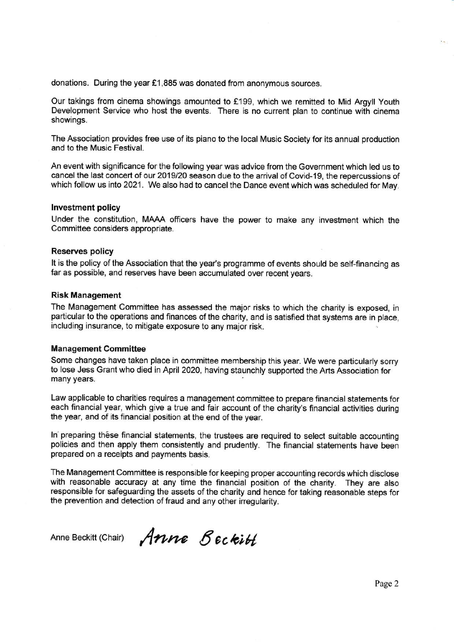donations. During the year €1,885 was donated from anonymous sources.

Our takings from cinema showings amounted to £199, which we remitted to Mid Argyll Youth Development Service who host the events. There is no current plan to continue with cinema showings.

The Association provides free use of its piano to the local Music Society for its annual production and to the Music Festival.

An event with significance for the following year was advice from the Government which led us to cancel the last concert of our 2019/20 season due to the arrival of Covid-19, the repercussions of which follow us into 2021. We also had to cancel the Dance event which was scheduled for May.

#### Investment policy

Under the constitution, MAAA officers have the power to make any investment which the Committee considers appropriate.

#### Reserves policy

It is the policy of the Association that the year's programme of events should be self-financing as far as possible, and reserves have been accumulated over recent years.

#### Risk Management

The Management Committee has assessed the major risks to which the charity is exposed, in particular to the operations and finances of the charity, and is satisfied that systems are in place, including insurance, to mitigate exposure to any major risk.

#### Management Gommittee

Some changes have taken place in committee membership this year. We were particularly sorry to lose Jess Grant who died in April 2020, having staunchly supported the Arts Association for many years.

Law applicable to charities requires a management committee to prepare financial statements for each financial year, which give a true and fair account of the charity's financial activities during the year, and of its financial position at the end of the year.

In preparing these financial statements, the trustees are required to select suitable accounting policies and then apply them consistently and prudently. The financial statements have been prepared on a receipts and payments basis.

The Management Committee is responsible for keeping proper accounting records which disclose with reasonable accuracy at any time the financial position of the charity. They are also responsible for safeguarding the assets of the charity and hence for taking reasonable steps for the prevention and detection of fraud and any other irregularity.

Anne Beckitt (Chair)  $\mathcal{A}$ nne  $\mathcal{B}$  eckitt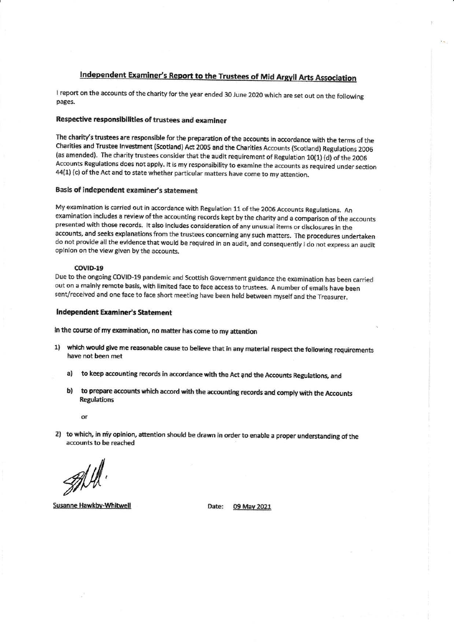### Independent Examiner's Report to the Trustees of Mid Argyll Arts Association

I report on the accounts of the charity for the year ended 30 June 2020 which are set out on the following pages.

#### Respective responsibilities of trustees and examiner

The charity's trustees are responsible for the preparation of the accounts in accordance with the terms of the Charities and Trustee Investment (Scotland) Act 2005 and the Charities Accounts (Scotland) Regulations 2006 (as amended). The charity trustees consider that the audit requirement of Regulation 10(1) (d) of the 2006 Accounts Regulations does not apply. It is my responsibility to examine the accounts as required under section 44(1) (c) of the Act and to state whether particular matters have come to my attention.

#### Basis of independent examiner's statement

My examination is carried out in accordance with Regulation 11 of the 2006 Accounts Regulations. An examination includes a review of the accounting records kept by the charity and a comparison of the accounts presented with those records. It also includes consideration of any unusual items or disclosures in the accounts, and seeks explanations from the trustees concerning any such matters. The procedures undertaken do not provide all the evidence that would be required in an audit, and consequently I do not express an audit opinion on the view given by the accounts.

#### COVID-19

Due to the ongoing COVID-19 pandemic and Scottish Government guidance the examination has been carried out on a mainly remote basis, with limited face to face access to trustees. A number of emails have been sent/received and one face to face short meeting have been held between myself and the Treasurer.

#### **Independent Examiner's Statement**

In the course of my examination, no matter has come to my attention

- 1) which would give me reasonable cause to believe that in any material respect the following requirements have not been met
	- to keep accounting records in accordance with the Act and the Accounts Regulations, and  $a)$
	- b) to prepare accounts which accord with the accounting records and comply with the Accounts **Regulations** 
		- $\alpha$
- 2) to which, in my opinion, attention should be drawn in order to enable a proper understanding of the accounts to be reached

**Susanne Hawkby-Whitwell** 

Date: 09 May 2021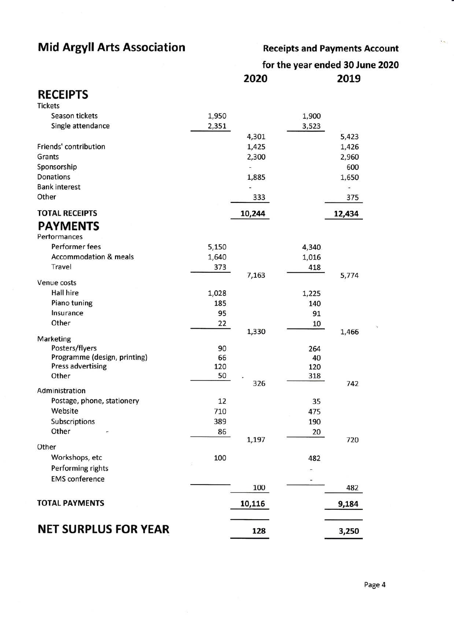## Mid Argyll Arts Association

Receipts and Payments Account

 $\epsilon_{\rm m}$ 

for the year ended 30 June 2O2O 2020 2019

### RECEIPTS

| <b>Tickets</b>                   |       |        |              |                |
|----------------------------------|-------|--------|--------------|----------------|
| Season tickets                   | 1,950 |        | 1,900        |                |
| Single attendance                | 2,351 |        | 3,523        |                |
|                                  |       | 4,301  |              | 5,423          |
| Friends' contribution            |       | 1,425  |              | 1,426          |
| Grants                           |       | 2,300  |              | 2,960          |
| Sponsorship                      |       |        |              | 600            |
| <b>Donations</b>                 |       | 1,885  |              | 1,650          |
| <b>Bank interest</b>             |       | ۷      |              | $\overline{a}$ |
| Other                            |       | 333    |              | 375            |
| <b>TOTAL RECEIPTS</b>            |       | 10,244 |              | 12,434         |
| <b>PAYMENTS</b>                  |       |        |              |                |
| Pertormances                     |       |        |              |                |
| Performer fees                   | 5,150 |        | 4,340        |                |
| <b>Accommodation &amp; meals</b> | 1,640 |        | 1,016        |                |
| Travel                           | 373   |        | 418          |                |
| Venue costs                      |       | 7,163  |              | 5,774          |
| <b>Hall hire</b>                 | 1,028 |        |              |                |
| Piano tuning                     | 185   |        | 1,225<br>140 |                |
| Insurance                        | 95    |        | 91           |                |
| Other                            | 22    |        | 10           |                |
|                                  |       | 1,330  |              | 1,466          |
| <b>Marketing</b>                 |       |        |              |                |
| Posters/flyers                   | 90    |        | 264          |                |
| Programme (design, printing)     | 66    |        | 40           |                |
| <b>Press advertising</b>         | 120   |        | 120          |                |
| Other                            | 50    | 326    | 318          | 742            |
| Administration                   |       |        |              |                |
| Postage, phone, stationery       | 12    |        | 35           |                |
| Website                          | 710   |        | 475          |                |
| Subscriptions                    | 389   |        | 190          |                |
| Other                            | 86    |        | 20           |                |
| Other                            |       | 1,197  |              | 720            |
| Workshops, etc                   | 100   |        | 482          |                |
| Performing rights                |       |        |              |                |
| <b>EMS</b> conference            |       |        |              |                |
|                                  |       | 100    |              | 482            |
| <b>TOTAL PAYMENTS</b>            |       | 10,116 |              | 9,184          |
|                                  |       |        |              |                |
| <b>NET SURPLUS FOR YEAR</b>      |       | 128    |              | 3,250          |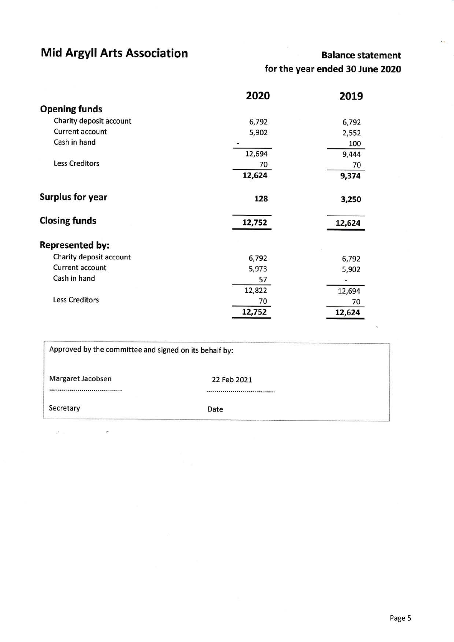# Mid Argyll Arts Association

 $\overline{\phantom{a}}$ 

### Balance statement for the year ended 30 June 2O2O

 $\ddot{r}$ 

|                         | 2020   | 2019   |
|-------------------------|--------|--------|
| <b>Opening funds</b>    |        |        |
| Charity deposit account | 6,792  | 6,792  |
| Current account         | 5,902  | 2,552  |
| Cash in hand            |        | 100    |
|                         | 12,694 | 9,444  |
| <b>Less Creditors</b>   | 70     | 70     |
|                         | 12,624 | 9,374  |
| <b>Surplus for year</b> | 128    | 3,250  |
| <b>Closing funds</b>    | 12,752 | 12,624 |
| <b>Represented by:</b>  |        |        |
| Charity deposit account | 6,792  | 6,792  |
| <b>Current account</b>  | 5,973  | 5,902  |
| Cash in hand            | 57     |        |
|                         | 12,822 | 12,694 |
| <b>Less Creditors</b>   | 70     | 70     |
|                         | 12,752 | 12,624 |

| Approved by the committee and signed on its behalf by: |             |  |
|--------------------------------------------------------|-------------|--|
| Margaret Jacobsen                                      | 22 Feb 2021 |  |
| ,,,,,,,,,,,,,,,,,,,,,,,,,,,,,,,,,,,,                   |             |  |
| Secretary                                              | Date        |  |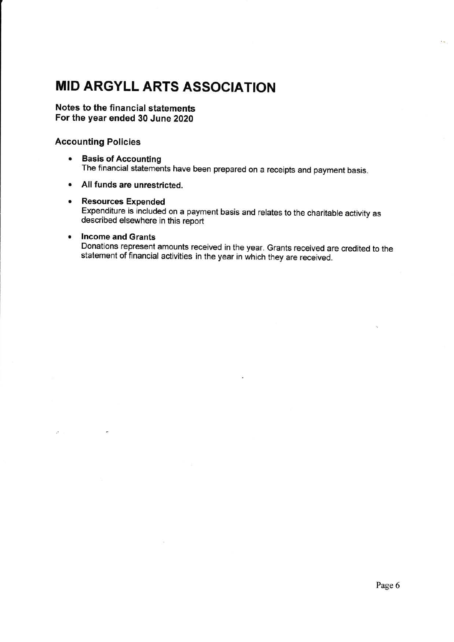# MID ARGYLL ARTS ASSOGIATION

#### Notes to the financial statements For the year ended 30 June 2020

#### Accounting Policies

- **Basis of Accounting** The financial statements have been prepared on a receipts and payment basis.
- o All funds are unrestricted.

#### o Resources Expended

Expenditure is included on a payment basis and relates to the charitable activity as described elsewhere in this report

#### • Income and Grants

×

Donations represent amounts received in the year. Grants received are credited to the statement of financial activities in the year in which they are received.